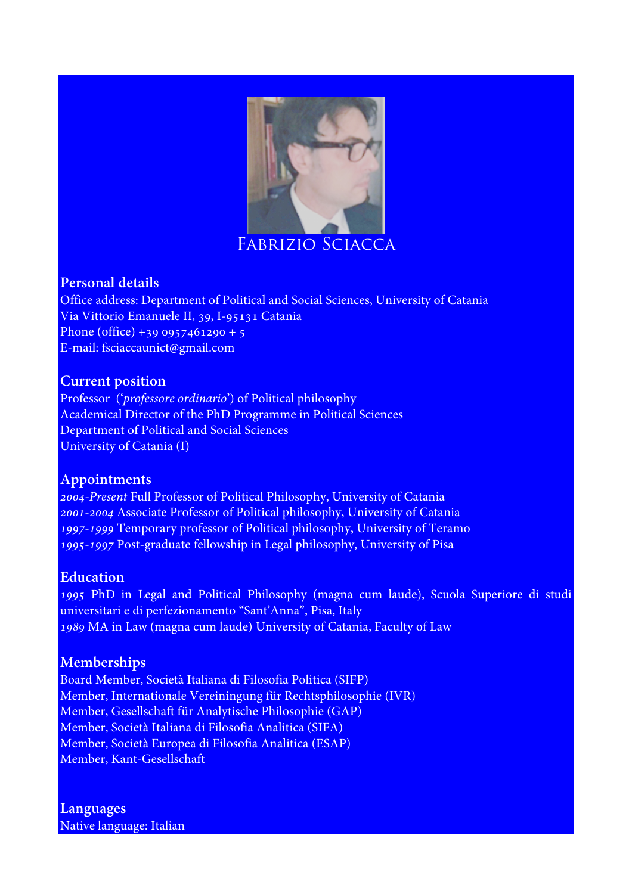

### **Personal details**

Office address: Department of Political and Social Sciences, University of Catania Via Vittorio Emanuele II, 39, I-95131 Catania Phone (office) +39 0957461290 + 5 E-mail: fsciaccaunict@gmail.com

#### **Current position**

Professor ('*professore ordinario*') of Political philosophy Academical Director of the PhD Programme in Political Sciences Department of Political and Social Sciences University of Catania (I)

# **Appointments**

*2004-Present* Full Professor of Political Philosophy, University of Catania *2001-2004* Associate Professor of Political philosophy, University of Catania *1997-1999* Temporary professor of Political philosophy, University of Teramo *1995-1997* Post-graduate fellowship in Legal philosophy, University of Pisa

# **Education**

*1995* PhD in Legal and Political Philosophy (magna cum laude), Scuola Superiore di studi universitari e di perfezionamento "Sant'Anna", Pisa, Italy *1989* MA in Law (magna cum laude) University of Catania, Faculty of Law

# **Memberships**

Board Member, Società Italiana di Filosofia Politica (SIFP) Member, Internationale Vereiningung für Rechtsphilosophie (IVR) Member, Gesellschaft für Analytische Philosophie (GAP) Member, Società Italiana di Filosofia Analitica (SIFA) Member, Società Europea di Filosofia Analitica (ESAP) Member, Kant-Gesellschaft

**Languages** Native language: Italian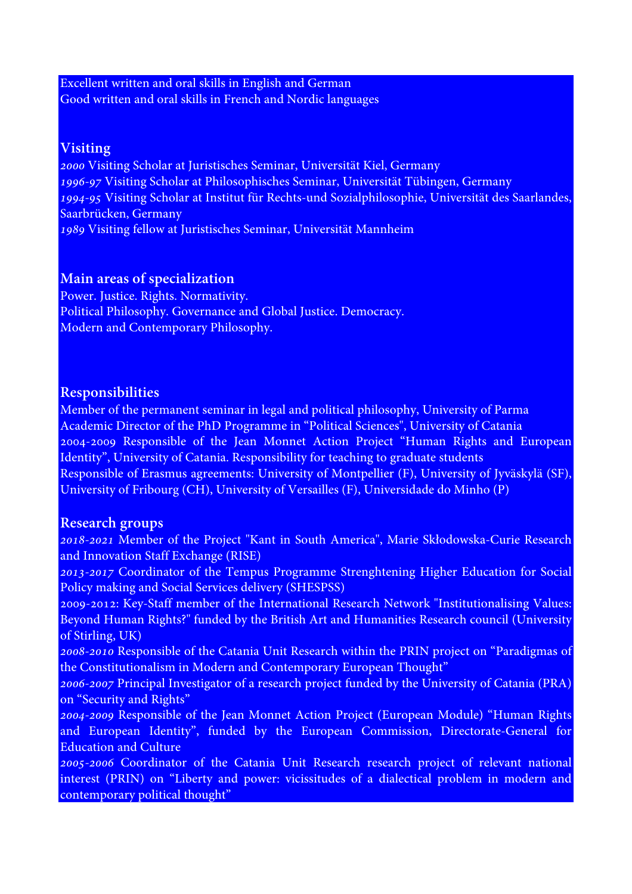Excellent written and oral skills in English and German Good written and oral skills in French and Nordic languages

### **Visiting**

*2000* Visiting Scholar at Juristisches Seminar, Universität Kiel, Germany *1996-97* Visiting Scholar at Philosophisches Seminar, Universität Tübingen, Germany *1994-95* Visiting Scholar at Institut für Rechts-und Sozialphilosophie, Universität des Saarlandes, Saarbrücken, Germany *1989* Visiting fellow at Juristisches Seminar, Universität Mannheim

# **Main areas of specialization**

Power. Justice. Rights. Normativity. Political Philosophy. Governance and Global Justice. Democracy. Modern and Contemporary Philosophy.

# **Responsibilities**

Member of the permanent seminar in legal and political philosophy, University of Parma Academic Director of the PhD Programme in "Political Sciences", University of Catania 2004-2009 Responsible of the Jean Monnet Action Project "Human Rights and European Identity", University of Catania. Responsibility for teaching to graduate students Responsible of Erasmus agreements: University of Montpellier (F), University of Jyväskylä (SF), University of Fribourg (CH), University of Versailles (F), Universidade do Minho (P)

#### **Research groups**

*2018-2021* Member of the Project "Kant in South America", Marie Skłodowska-Curie Research and Innovation Staff Exchange (RISE)

*2013-2017* Coordinator of the Tempus Programme Strenghtening Higher Education for Social Policy making and Social Services delivery (SHESPSS)

2009-2012: Key-Staff member of the International Research Network "Institutionalising Values: Beyond Human Rights?" funded by the British Art and Humanities Research council (University of Stirling, UK)

*2008-2010* Responsible of the Catania Unit Research within the PRIN project on "Paradigmas of the Constitutionalism in Modern and Contemporary European Thought"

*2006-2007* Principal Investigator of a research project funded by the University of Catania (PRA) on "Security and Rights"

*2004-2009* Responsible of the Jean Monnet Action Project (European Module) "Human Rights and European Identity", funded by the European Commission, Directorate-General for Education and Culture

*2005-2006* Coordinator of the Catania Unit Research research project of relevant national interest (PRIN) on "Liberty and power: vicissitudes of a dialectical problem in modern and contemporary political thought"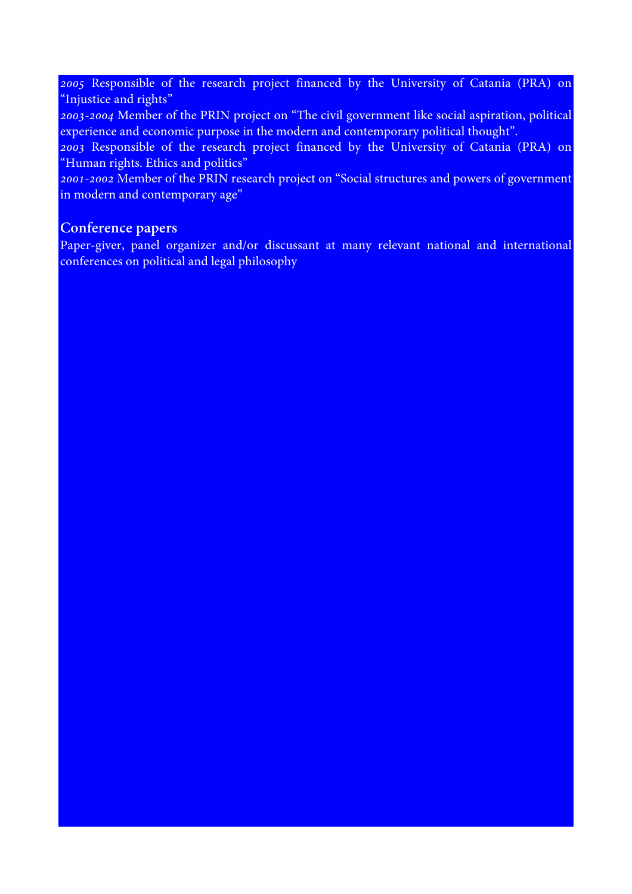*2005* Responsible of the research project financed by the University of Catania (PRA) on "Injustice and rights"

*2003-2004* Member of the PRIN project on "The civil government like social aspiration, political experience and economic purpose in the modern and contemporary political thought".

*2003* Responsible of the research project financed by the University of Catania (PRA) on "Human rights. Ethics and politics"

*2001-2002* Member of the PRIN research project on "Social structures and powers of government in modern and contemporary age"

# **Conference papers**

Paper-giver, panel organizer and/or discussant at many relevant national and international conferences on political and legal philosophy